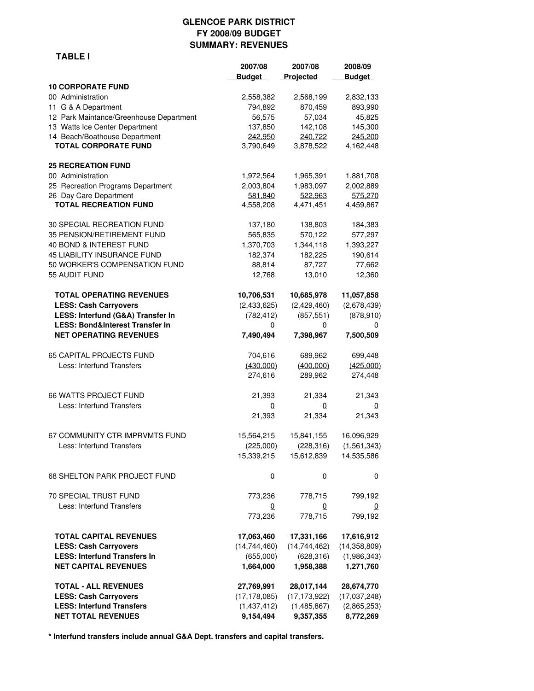### **GLENCOE PARK DISTRICT FY 2008/09 BUDGET MARY: REVENUES**

 **2007/08 2007/08 2008/09**

|                | <b>SUM</b> |
|----------------|------------|
| <b>TABLE I</b> |            |
|                |            |
|                |            |

|                                            | <b>Budget</b>  | Projected      | <b>Budget</b>  |
|--------------------------------------------|----------------|----------------|----------------|
| <b>10 CORPORATE FUND</b>                   |                |                |                |
| 00 Administration                          | 2,558,382      | 2,568,199      | 2,832,133      |
| 11 G & A Department                        | 794,892        | 870,459        | 893,990        |
| 12 Park Maintance/Greenhouse Department    | 56,575         | 57,034         | 45,825         |
| 13 Watts Ice Center Department             | 137,850        | 142,108        | 145,300        |
| 14 Beach/Boathouse Department              | 242,950        | 240,722        | 245,200        |
| <b>TOTAL CORPORATE FUND</b>                | 3,790,649      | 3,878,522      | 4,162,448      |
| <b>25 RECREATION FUND</b>                  |                |                |                |
| 00 Administration                          | 1,972,564      | 1,965,391      | 1,881,708      |
| 25 Recreation Programs Department          | 2,003,804      | 1,983,097      | 2,002,889      |
| 26 Day Care Department                     | 581,840        | 522.963        | 575.270        |
| <b>TOTAL RECREATION FUND</b>               | 4,558,208      | 4,471,451      | 4,459,867      |
| 30 SPECIAL RECREATION FUND                 | 137,180        | 138,803        | 184,383        |
| 35 PENSION/RETIREMENT FUND                 | 565,835        | 570,122        | 577,297        |
| 40 BOND & INTEREST FUND                    | 1,370,703      | 1,344,118      | 1,393,227      |
| <b>45 LIABILITY INSURANCE FUND</b>         | 182,374        | 182,225        | 190,614        |
| 50 WORKER'S COMPENSATION FUND              | 88,814         | 87,727         | 77,662         |
| 55 AUDIT FUND                              | 12,768         | 13,010         | 12,360         |
| <b>TOTAL OPERATING REVENUES</b>            | 10,706,531     | 10,685,978     | 11,057,858     |
| <b>LESS: Cash Carryovers</b>               | (2,433,625)    | (2,429,460)    | (2,678,439)    |
| LESS: Interfund (G&A) Transfer In          | (782, 412)     | (857, 551)     | (878, 910)     |
| <b>LESS: Bond&amp;Interest Transfer In</b> | 0              | 0              | 0              |
| <b>NET OPERATING REVENUES</b>              | 7,490,494      | 7,398,967      | 7,500,509      |
| <b>65 CAPITAL PROJECTS FUND</b>            | 704,616        | 689,962        | 699,448        |
| Less: Interfund Transfers                  | (430,000)      | (400.000)      | (425.000)      |
|                                            | 274,616        | 289,962        | 274,448        |
| <b>66 WATTS PROJECT FUND</b>               | 21,393         | 21,334         | 21,343         |
| Less: Interfund Transfers                  | 0              | 0              | 0              |
|                                            | 21,393         | 21,334         | 21,343         |
| 67 COMMUNITY CTR IMPRVMTS FUND             | 15,564,215     | 15,841,155     | 16,096,929     |
| Less: Interfund Transfers                  | (225,000)      | (228, 316)     | (1,561,343)    |
|                                            | 15,339,215     | 15,612,839     | 14,535,586     |
| 68 SHELTON PARK PROJECT FUND               | $\mathbf 0$    | 0              | 0              |
| 70 SPECIAL TRUST FUND                      | 773,236        | 778,715        | 799,192        |
| Less: Interfund Transfers                  | 0              | 0              | 0              |
|                                            | 773,236        | 778,715        | 799,192        |
| <b>TOTAL CAPITAL REVENUES</b>              | 17,063,460     | 17,331,166     | 17,616,912     |
| <b>LESS: Cash Carryovers</b>               | (14, 744, 460) | (14, 744, 462) | (14, 358, 809) |
| <b>LESS: Interfund Transfers In</b>        | (655,000)      | (628, 316)     | (1,986,343)    |
| <b>NET CAPITAL REVENUES</b>                | 1,664,000      | 1,958,388      | 1,271,760      |
| <b>TOTAL - ALL REVENUES</b>                | 27,769,991     | 28,017,144     | 28,674,770     |
| <b>LESS: Cash Carryovers</b>               | (17, 178, 085) | (17, 173, 922) | (17,037,248)   |
| <b>LESS: Interfund Transfers</b>           | (1,437,412)    | (1,485,867)    | (2,865,253)    |
| <b>NET TOTAL REVENUES</b>                  | 9,154,494      | 9,357,355      | 8,772,269      |

**\* Interfund transfers include annual G&A Dept. transfers and capital transfers.**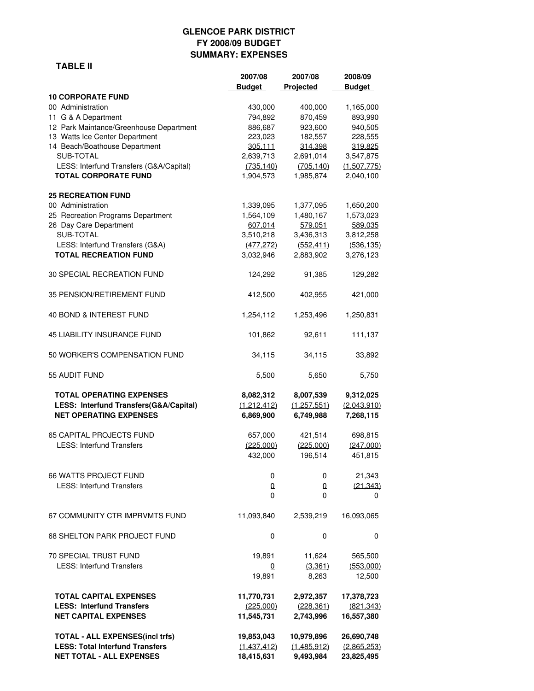# **GLENCOE PARK DISTRICT FY 2008/09 BUDGET SUMMARY: EXPENSES**

### **TABLE II**

|                                                                                  | 2007/08        | 2007/08     | 2008/09       |
|----------------------------------------------------------------------------------|----------------|-------------|---------------|
|                                                                                  | <b>Budget</b>  | Projected   | <b>Budget</b> |
| <b>10 CORPORATE FUND</b>                                                         |                |             |               |
| 00 Administration                                                                | 430,000        | 400,000     | 1,165,000     |
| 11 G & A Department                                                              | 794,892        | 870,459     | 893,990       |
| 12 Park Maintance/Greenhouse Department                                          | 886,687        | 923,600     | 940,505       |
| 13 Watts Ice Center Department                                                   | 223,023        | 182,557     | 228,555       |
| 14 Beach/Boathouse Department                                                    | 305,111        | 314,398     | 319,825       |
| SUB-TOTAL                                                                        | 2,639,713      | 2,691,014   | 3,547,875     |
| LESS: Interfund Transfers (G&A/Capital)                                          | (735, 140)     | (705, 140)  | (1,507,775)   |
| <b>TOTAL CORPORATE FUND</b>                                                      | 1,904,573      | 1,985,874   | 2,040,100     |
| <b>25 RECREATION FUND</b>                                                        |                |             |               |
| 00 Administration                                                                | 1,339,095      | 1,377,095   | 1,650,200     |
| 25 Recreation Programs Department                                                | 1,564,109      | 1,480,167   | 1,573,023     |
| 26 Day Care Department                                                           | 607,014        | 579,051     | 589,035       |
| SUB-TOTAL                                                                        | 3,510,218      | 3,436,313   | 3,812,258     |
| LESS: Interfund Transfers (G&A)                                                  | (477, 272)     | (552, 411)  | (536, 135)    |
| <b>TOTAL RECREATION FUND</b>                                                     | 3,032,946      | 2,883,902   | 3,276,123     |
| 30 SPECIAL RECREATION FUND                                                       | 124,292        | 91,385      | 129,282       |
| 35 PENSION/RETIREMENT FUND                                                       | 412,500        | 402,955     | 421,000       |
|                                                                                  |                |             |               |
| 40 BOND & INTEREST FUND                                                          | 1,254,112      | 1,253,496   | 1,250,831     |
| <b>45 LIABILITY INSURANCE FUND</b>                                               | 101,862        | 92,611      | 111,137       |
| 50 WORKER'S COMPENSATION FUND                                                    | 34,115         | 34,115      | 33,892        |
| 55 AUDIT FUND                                                                    | 5,500          | 5,650       | 5,750         |
| <b>TOTAL OPERATING EXPENSES</b>                                                  | 8,082,312      | 8,007,539   | 9,312,025     |
| LESS: Interfund Transfers(G&A/Capital)                                           | (1,212,412)    | (1,257,551) | (2,043,910)   |
| <b>NET OPERATING EXPENSES</b>                                                    | 6,869,900      | 6,749,988   | 7,268,115     |
|                                                                                  |                |             |               |
| <b>65 CAPITAL PROJECTS FUND</b>                                                  | 657,000        | 421,514     | 698,815       |
| <b>LESS: Interfund Transfers</b>                                                 | (225.000)      | (225,000)   | (247.000)     |
|                                                                                  | 432,000        | 196,514     | 451,815       |
|                                                                                  |                |             |               |
| <b>66 WATTS PROJECT FUND</b>                                                     | 0              | 0           | 21,343        |
| <b>LESS: Interfund Transfers</b>                                                 | $\overline{0}$ | 0           | (21, 343)     |
|                                                                                  | 0              | 0           | 0             |
|                                                                                  |                |             |               |
| 67 COMMUNITY CTR IMPRVMTS FUND                                                   | 11,093,840     | 2,539,219   | 16,093,065    |
| <b>68 SHELTON PARK PROJECT FUND</b>                                              | 0              | 0           | 0             |
| 70 SPECIAL TRUST FUND                                                            | 19,891         | 11,624      | 565,500       |
| <b>LESS: Interfund Transfers</b>                                                 | 0              | (3, 361)    | (553,000)     |
|                                                                                  | 19,891         | 8,263       | 12,500        |
| <b>TOTAL CAPITAL EXPENSES</b>                                                    | 11,770,731     | 2,972,357   | 17,378,723    |
| <b>LESS: Interfund Transfers</b>                                                 | (225,000)      | (228, 361)  | (821, 343)    |
| <b>NET CAPITAL EXPENSES</b>                                                      | 11,545,731     | 2,743,996   | 16,557,380    |
|                                                                                  |                |             |               |
| <b>TOTAL - ALL EXPENSES(incl trfs)</b><br><b>LESS: Total Interfund Transfers</b> | 19,853,043     | 10,979,896  | 26,690,748    |
|                                                                                  | (1,437,412)    | (1,485,912) | (2,865,253)   |
| <b>NET TOTAL - ALL EXPENSES</b>                                                  | 18,415,631     | 9,493,984   | 23,825,495    |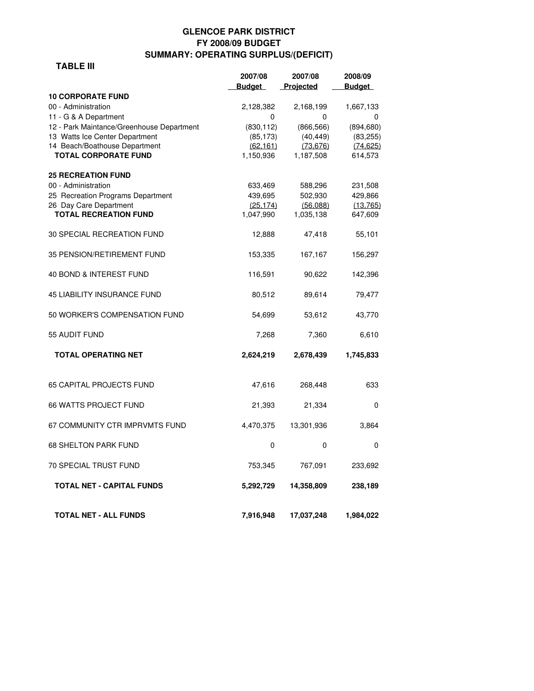# **GLENCOE PARK DISTRICT FY 2008/09 BUDGET SUMMARY: OPERATING SURPLUS/(DEFICIT)**

#### **TABLE III**

|                                           | 2007/08       | 2007/08    | 2008/09       |  |
|-------------------------------------------|---------------|------------|---------------|--|
|                                           | <b>Budget</b> | Projected  | <b>Budget</b> |  |
| <b>10 CORPORATE FUND</b>                  |               |            |               |  |
| 00 - Administration                       | 2,128,382     | 2,168,199  | 1,667,133     |  |
| 11 - G & A Department                     | 0             | 0          | 0             |  |
| 12 - Park Maintance/Greenhouse Department | (830, 112)    | (866, 566) | (894, 680)    |  |
| 13 Watts Ice Center Department            | (85, 173)     | (40, 449)  | (83, 255)     |  |
| 14 Beach/Boathouse Department             | (62.161)      | (73.676)   | (74.625)      |  |
| <b>TOTAL CORPORATE FUND</b>               | 1,150,936     | 1,187,508  | 614,573       |  |
| <b>25 RECREATION FUND</b>                 |               |            |               |  |
| 00 - Administration                       | 633,469       | 588,296    | 231,508       |  |
| 25 Recreation Programs Department         | 439,695       | 502,930    | 429,866       |  |
| 26 Day Care Department                    | (25.174)      | (56,088)   | (13, 765)     |  |
| <b>TOTAL RECREATION FUND</b>              | 1,047,990     | 1,035,138  | 647,609       |  |
|                                           |               |            |               |  |
| 30 SPECIAL RECREATION FUND                | 12,888        | 47,418     | 55,101        |  |
| 35 PENSION/RETIREMENT FUND                | 153,335       | 167,167    | 156,297       |  |
| 40 BOND & INTEREST FUND                   | 116,591       | 90,622     | 142,396       |  |
| <b>45 LIABILITY INSURANCE FUND</b>        | 80,512        | 89,614     | 79,477        |  |
| 50 WORKER'S COMPENSATION FUND             | 54,699        | 53,612     | 43,770        |  |
| 55 AUDIT FUND                             | 7,268         | 7,360      | 6,610         |  |
| <b>TOTAL OPERATING NET</b>                | 2,624,219     | 2,678,439  | 1,745,833     |  |
|                                           |               |            |               |  |
| 65 CAPITAL PROJECTS FUND                  | 47,616        | 268,448    | 633           |  |
| <b>66 WATTS PROJECT FUND</b>              | 21,393        | 21,334     | $\Omega$      |  |
| 67 COMMUNITY CTR IMPRVMTS FUND            | 4,470,375     | 13,301,936 | 3,864         |  |
| <b>68 SHELTON PARK FUND</b>               | 0             | 0          | $\mathbf 0$   |  |
| <b>70 SPECIAL TRUST FUND</b>              | 753,345       | 767,091    | 233,692       |  |
| <b>TOTAL NET - CAPITAL FUNDS</b>          | 5,292,729     | 14,358,809 | 238,189       |  |
|                                           |               |            |               |  |
| <b>TOTAL NET - ALL FUNDS</b>              | 7,916,948     | 17,037,248 | 1,984,022     |  |